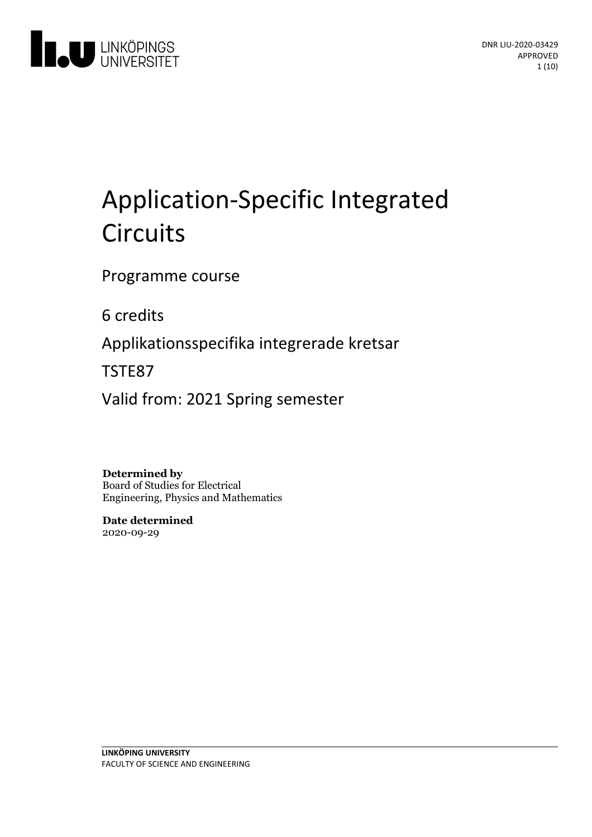

# Application-Specific Integrated **Circuits**

Programme course

6 credits

Applikationsspecifika integrerade kretsar

TSTE87

Valid from: 2021 Spring semester

**Determined by** Board of Studies for Electrical Engineering, Physics and Mathematics

**Date determined** 2020-09-29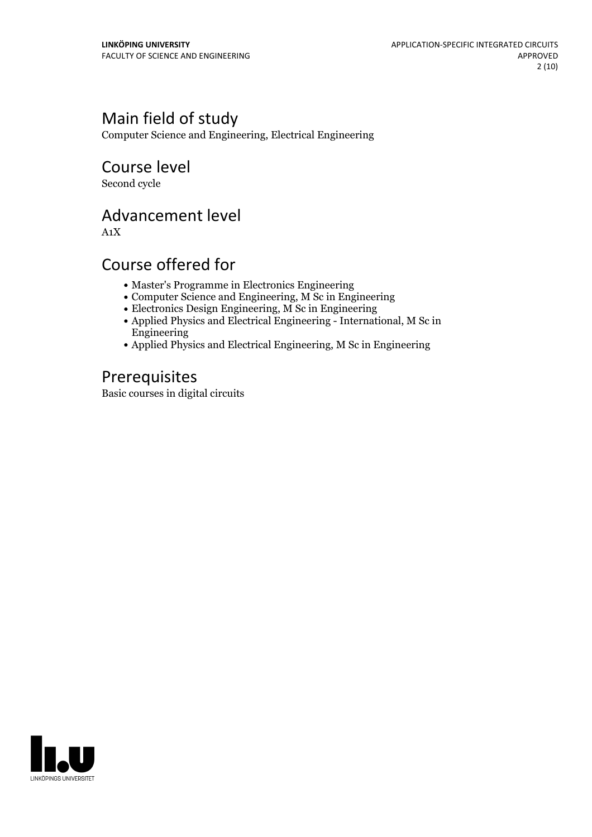# Main field of study

Computer Science and Engineering, Electrical Engineering

Course level

Second cycle

# Advancement level

A1X

# Course offered for

- Master's Programme in Electronics Engineering
- Computer Science and Engineering, M Sc in Engineering
- $\bullet$  Electronics Design Engineering, M Sc in Engineering
- Applied Physics and Electrical Engineering International, M Sc in Engineering
- Applied Physics and Electrical Engineering, M Sc in Engineering

# Prerequisites

Basic courses in digital circuits

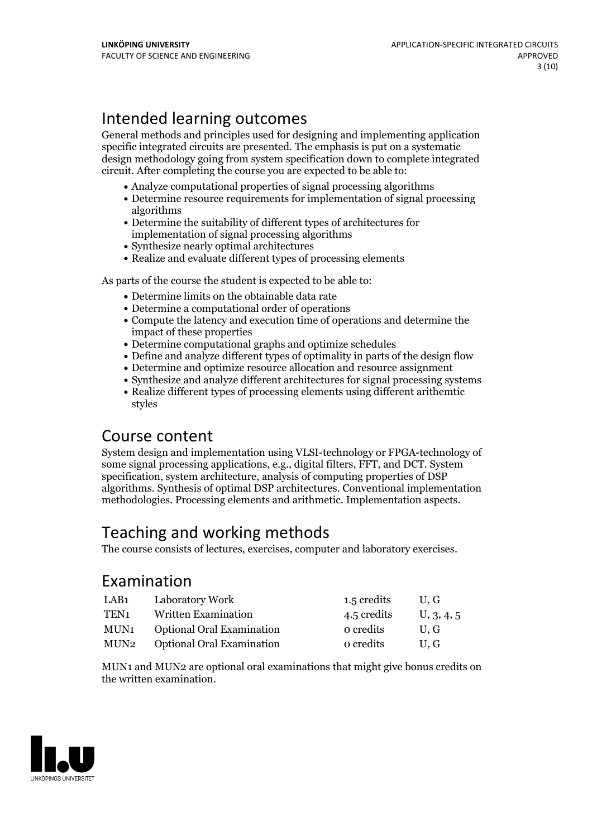# Intended learning outcomes

General methods and principles used for designing and implementing application specific integrated circuits are presented. The emphasis is put on a systematic design methodology going from system specification down to complete integrated circuit. After completing the course you are expected to be able to:

- Analyze computational properties of signal processing algorithms
- Determine resource requirements for implementation of signal processing algorithms
- Determine the suitability of different types of architectures for implementation of signal processing algorithms
- Synthesize nearly optimal architectures
- Realize and evaluate different types of processing elements

As parts of the course the student is expected to be able to:

- Determine limits on the obtainable data rate
- Determine a computational order of operations
- Compute the latency and execution time of operations and determine the impact of these properties
- Determine computational graphs and optimize schedules
- Define and analyze different types of optimality in parts of the design flow
- Determine and optimize resource allocation and resource assignment
- Synthesize and analyze different architectures for signal processing systems
- Realize different types of processing elements using different arithemtic styles

### Course content

System design and implementation using VLSI-technology or FPGA-technology of some signal processing applications, e.g., digital filters, FFT, and DCT. System specification, system architecture, analysis of computing properties of DSP algorithms. Synthesis of optimal DSP architectures. Conventional implementation methodologies. Processing elements and arithmetic. Implementation aspects.

# Teaching and working methods

The course consists of lectures, exercises, computer and laboratory exercises.

### Examination

| LAB <sub>1</sub> | Laboratory Work                  | 1.5 credits | U.G        |
|------------------|----------------------------------|-------------|------------|
| TEN <sub>1</sub> | Written Examination              | 4.5 credits | U, 3, 4, 5 |
| MUN1             | <b>Optional Oral Examination</b> | o credits   | U.G        |
| MUN2             | <b>Optional Oral Examination</b> | o credits   | U.G        |

MUN1 and MUN2 are optional oral examinations that might give bonus credits on the written examination.

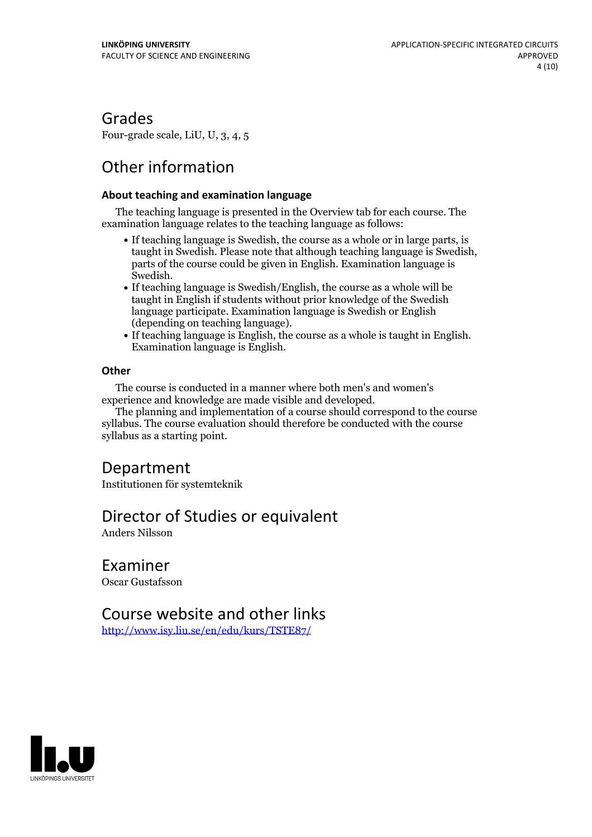### Grades

Four-grade scale, LiU, U, 3, 4, 5

# Other information

### **About teaching and examination language**

The teaching language is presented in the Overview tab for each course. The examination language relates to the teaching language as follows:

- If teaching language is Swedish, the course as a whole or in large parts, is taught in Swedish. Please note that although teaching language is Swedish, parts of the course could be given in English. Examination language is
- Swedish.<br>• If teaching language is Swedish/English, the course as a whole will be taught in English if students without prior knowledge of the Swedish language participate. Examination language is Swedish or English
- (depending on teaching language).<br>• If teaching language is English, the course as a whole is taught in English.<br>Examination language is English.

### **Other**

The course is conducted in a manner where both men's and women's

The planning and implementation of a course should correspond to the course syllabus. The course evaluation should therefore be conducted with the course syllabus as a starting point.

# Department

Institutionen för systemteknik

# Director of Studies or equivalent

Anders Nilsson

Examiner

Oscar Gustafsson

### Course website and other links

<http://www.isy.liu.se/en/edu/kurs/TSTE87/>

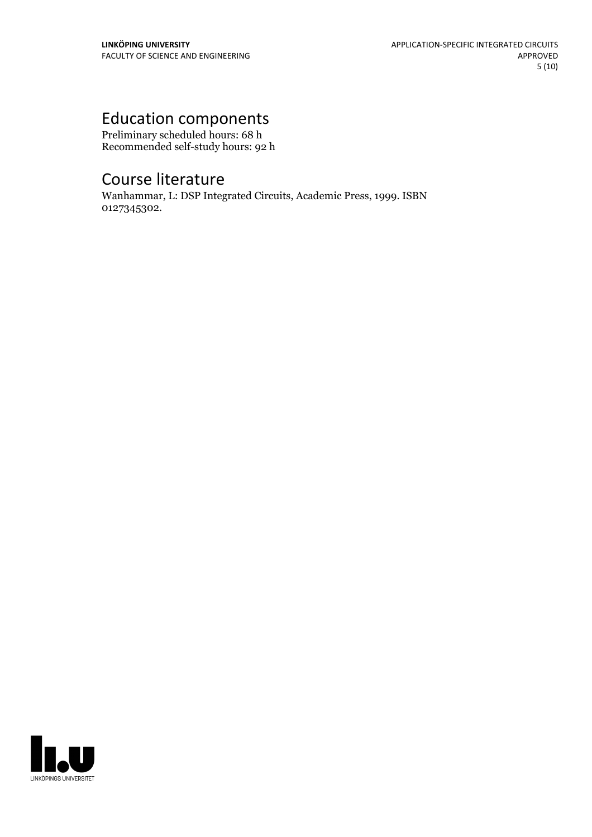# Education components

Preliminary scheduled hours: 68 h Recommended self-study hours: 92 h

# Course literature

Wanhammar, L: DSP Integrated Circuits, Academic Press, 1999. ISBN 0127345302.

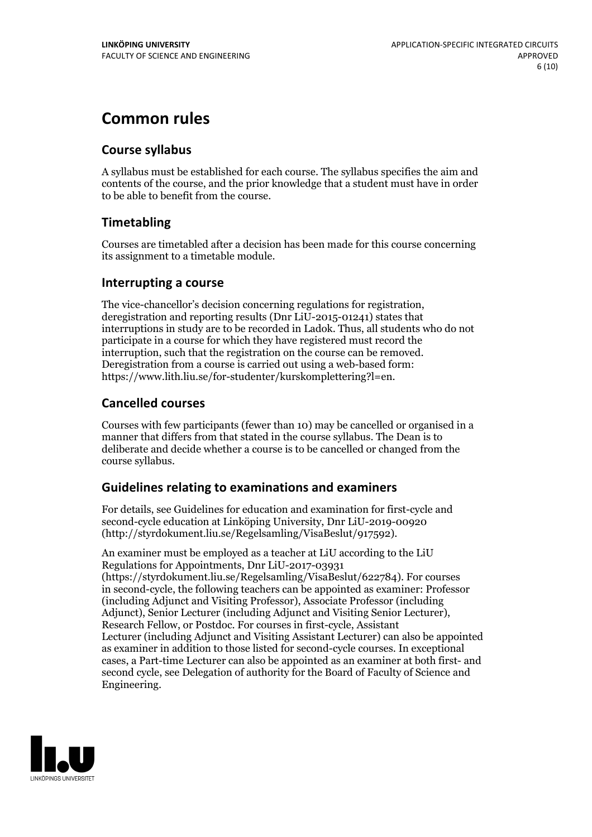# **Common rules**

### **Course syllabus**

A syllabus must be established for each course. The syllabus specifies the aim and contents of the course, and the prior knowledge that a student must have in order to be able to benefit from the course.

### **Timetabling**

Courses are timetabled after a decision has been made for this course concerning its assignment to a timetable module.

### **Interrupting a course**

The vice-chancellor's decision concerning regulations for registration, deregistration and reporting results (Dnr LiU-2015-01241) states that interruptions in study are to be recorded in Ladok. Thus, all students who do not participate in a course for which they have registered must record the interruption, such that the registration on the course can be removed. Deregistration from <sup>a</sup> course is carried outusing <sup>a</sup> web-based form: https://www.lith.liu.se/for-studenter/kurskomplettering?l=en.

### **Cancelled courses**

Courses with few participants (fewer than 10) may be cancelled or organised in a manner that differs from that stated in the course syllabus. The Dean is to deliberate and decide whether a course is to be cancelled or changed from the course syllabus.

### **Guidelines relatingto examinations and examiners**

For details, see Guidelines for education and examination for first-cycle and second-cycle education at Linköping University, Dnr LiU-2019-00920 (http://styrdokument.liu.se/Regelsamling/VisaBeslut/917592).

An examiner must be employed as a teacher at LiU according to the LiU Regulations for Appointments, Dnr LiU-2017-03931 (https://styrdokument.liu.se/Regelsamling/VisaBeslut/622784). For courses in second-cycle, the following teachers can be appointed as examiner: Professor (including Adjunct and Visiting Professor), Associate Professor (including Adjunct), Senior Lecturer (including Adjunct and Visiting Senior Lecturer), Research Fellow, or Postdoc. For courses in first-cycle, Assistant Lecturer (including Adjunct and Visiting Assistant Lecturer) can also be appointed as examiner in addition to those listed for second-cycle courses. In exceptional cases, a Part-time Lecturer can also be appointed as an examiner at both first- and second cycle, see Delegation of authority for the Board of Faculty of Science and Engineering.

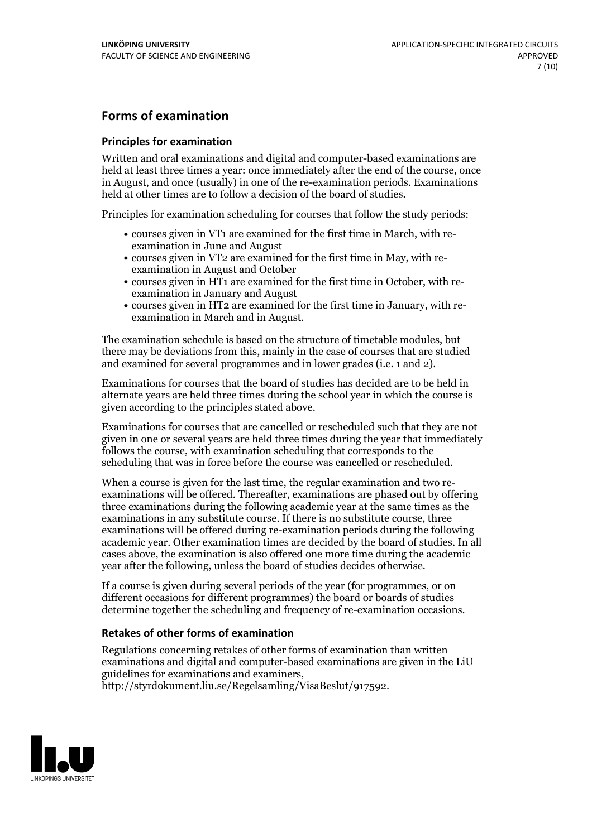### **Forms of examination**

### **Principles for examination**

Written and oral examinations and digital and computer-based examinations are held at least three times a year: once immediately after the end of the course, once in August, and once (usually) in one of the re-examination periods. Examinations held at other times are to follow a decision of the board of studies.

Principles for examination scheduling for courses that follow the study periods:

- courses given in VT1 are examined for the first time in March, with re-examination in June and August
- courses given in VT2 are examined for the first time in May, with re-examination in August and October
- courses given in HT1 are examined for the first time in October, with re-examination in January and August
- courses given in HT2 are examined for the first time in January, with re-examination in March and in August.

The examination schedule is based on the structure of timetable modules, but there may be deviations from this, mainly in the case of courses that are studied and examined for several programmes and in lower grades (i.e. 1 and 2).

Examinations for courses that the board of studies has decided are to be held in alternate years are held three times during the school year in which the course is given according to the principles stated above.

Examinations for courses that are cancelled orrescheduled such that they are not given in one or several years are held three times during the year that immediately follows the course, with examination scheduling that corresponds to the scheduling that was in force before the course was cancelled or rescheduled.

When a course is given for the last time, the regular examination and two re-<br>examinations will be offered. Thereafter, examinations are phased out by offering three examinations during the following academic year at the same times as the examinations in any substitute course. If there is no substitute course, three examinations will be offered during re-examination periods during the following academic year. Other examination times are decided by the board of studies. In all cases above, the examination is also offered one more time during the academic year after the following, unless the board of studies decides otherwise.

If a course is given during several periods of the year (for programmes, or on different occasions for different programmes) the board or boards of studies determine together the scheduling and frequency of re-examination occasions.

### **Retakes of other forms of examination**

Regulations concerning retakes of other forms of examination than written examinations and digital and computer-based examinations are given in the LiU guidelines for examinations and examiners, http://styrdokument.liu.se/Regelsamling/VisaBeslut/917592.

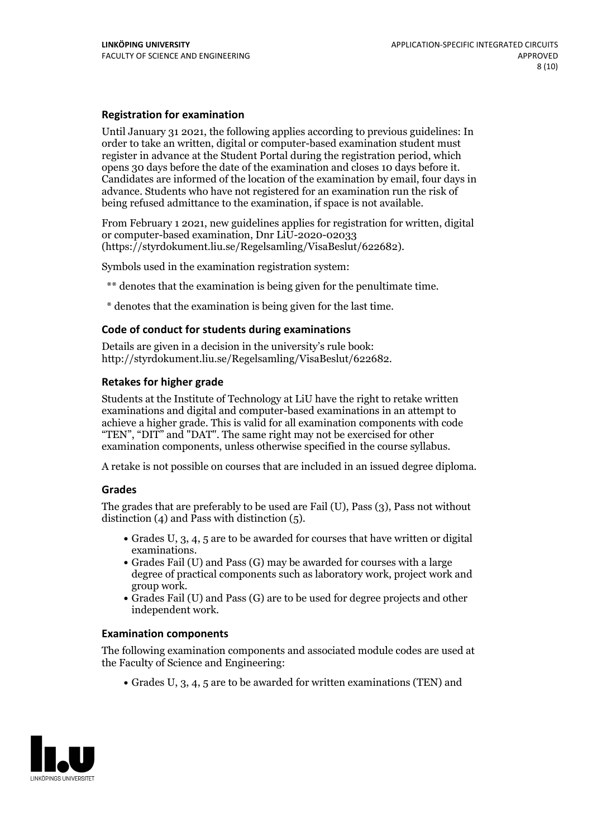### **Registration for examination**

Until January 31 2021, the following applies according to previous guidelines: In order to take an written, digital or computer-based examination student must register in advance at the Student Portal during the registration period, which Candidates are informed of the location of the examination by email, four days in advance. Students who have not registered for an examination run the risk of being refused admittance to the examination, if space is not available.

From February 1 2021, new guidelines applies for registration for written, digital or computer-based examination, Dnr LiU-2020-02033 (https://styrdokument.liu.se/Regelsamling/VisaBeslut/622682).

Symbols used in the examination registration system:

\*\* denotes that the examination is being given for the penultimate time.

\* denotes that the examination is being given for the last time.

### **Code of conduct for students during examinations**

Details are given in a decision in the university's rule book: http://styrdokument.liu.se/Regelsamling/VisaBeslut/622682.

### **Retakes for higher grade**

Students at the Institute of Technology at LiU have the right to retake written examinations and digital and computer-based examinations in an attempt to achieve a higher grade. This is valid for all examination components with code "TEN", "DIT" and "DAT". The same right may not be exercised for other examination components, unless otherwise specified in the course syllabus.

A retake is not possible on courses that are included in an issued degree diploma.

### **Grades**

The grades that are preferably to be used are Fail (U), Pass (3), Pass not without distinction  $(4)$  and Pass with distinction  $(5)$ .

- Grades U, 3, 4, 5 are to be awarded for courses that have written or digital examinations.<br>• Grades Fail (U) and Pass (G) may be awarded for courses with a large
- degree of practical components such as laboratory work, project work and
- $\bullet$  Grades Fail (U) and Pass (G) are to be used for degree projects and other independent work.

### **Examination components**

The following examination components and associated module codes are used at the Faculty of Science and Engineering:

Grades U, 3, 4, 5 are to be awarded for written examinations (TEN) and

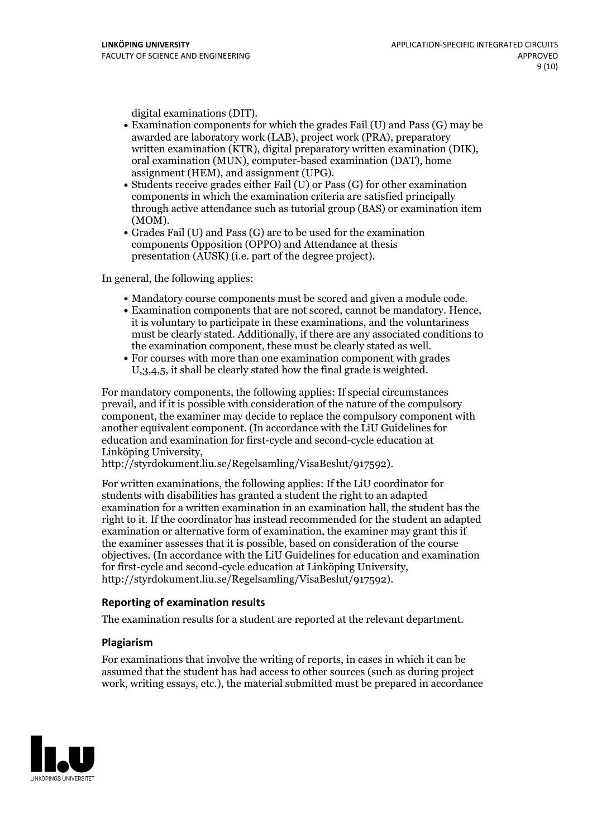- digital examinations (DIT).<br>• Examination components for which the grades Fail (U) and Pass (G) may be awarded are laboratory work (LAB), project work (PRA), preparatory written examination (KTR), digital preparatory written examination (DIK), oral examination (MUN), computer-based examination (DAT), home
- assignment (HEM), and assignment (UPG).<br>• Students receive grades either Fail (U) or Pass (G) for other examination components in which the examination criteria are satisfied principally through active attendance such as tutorial group (BAS) or examination item
- (MOM).<br>• Grades Fail (U) and Pass (G) are to be used for the examination components Opposition (OPPO) and Attendance at thesis presentation (AUSK) (i.e. part of the degree project).

In general, the following applies:

- 
- Mandatory course components must be scored and given <sup>a</sup> module code. Examination components that are not scored, cannot be mandatory. Hence, it is voluntary to participate in these examinations, and the voluntariness must be clearly stated. Additionally, if there are any associated conditions to the examination component, these must be clearly stated as well.<br>• For courses with more than one examination component with grades
- U,3,4,5, it shall be clearly stated how the final grade is weighted.

For mandatory components, the following applies: If special circumstances prevail, and if it is possible with consideration of the nature ofthe compulsory component, the examiner may decide to replace the compulsory component with another equivalent component. (In accordance with the LiU Guidelines for education and examination for first-cycle and second-cycle education at Linköping University, http://styrdokument.liu.se/Regelsamling/VisaBeslut/917592).

For written examinations, the following applies: If the LiU coordinator for students with disabilities has granted a student the right to an adapted examination for a written examination in an examination hall, the student has the right to it. If the coordinator has instead recommended for the student an adapted examination or alternative form of examination, the examiner may grant this if the examiner assesses that it is possible, based on consideration of the course objectives. (In accordance with the LiU Guidelines for education and examination for first-cycle and second-cycle education at Linköping University, http://styrdokument.liu.se/Regelsamling/VisaBeslut/917592).

### **Reporting of examination results**

The examination results for a student are reported at the relevant department.

### **Plagiarism**

For examinations that involve the writing of reports, in cases in which it can be assumed that the student has had access to other sources (such as during project work, writing essays, etc.), the material submitted must be prepared in accordance